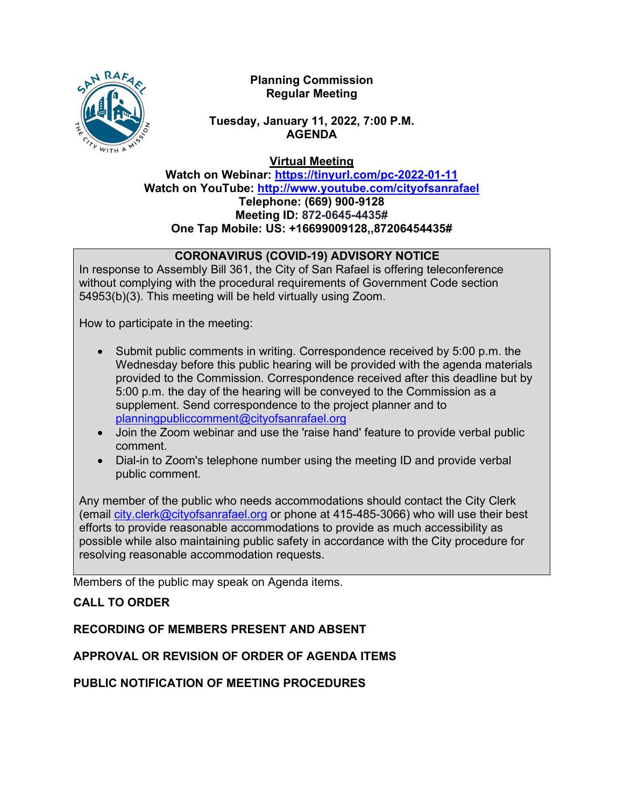

## **Planning Commission Regular Meeting**

## **Tuesday, January 11, 2022, 7:00 P.M. AGENDA**

**Virtual Meeting**

**Watch on Webinar: <https://tinyurl.com/pc-2022-01-11> Watch on YouTube:<http://www.youtube.com/cityofsanrafael> Telephone: (669) 900-9128 Meeting ID: 872-0645-4435# One Tap Mobile: US: +16699009128,,87206454435#**

# **CORONAVIRUS (COVID-19) ADVISORY NOTICE**

In response to Assembly Bill 361, the City of San Rafael is offering teleconference without complying with the procedural requirements of Government Code section 54953(b)(3). This meeting will be held virtually using Zoom.

How to participate in the meeting:

- Submit public comments in writing. Correspondence received by 5:00 p.m. the Wednesday before this public hearing will be provided with the agenda materials provided to the Commission. Correspondence received after this deadline but by 5:00 p.m. the day of the hearing will be conveyed to the Commission as a supplement. Send correspondence to the project planner and to [planningpubliccomment@cityofsanrafael.org](mailto:planningpubliccomment@cityofsanrafael.org)
- Join the Zoom webinar and use the 'raise hand' feature to provide verbal public comment.
- Dial-in to Zoom's telephone number using the meeting ID and provide verbal public comment.

Any member of the public who needs accommodations should contact the City Clerk (email [city.clerk@cityofsanrafael.org](mailto:city.clerk@cityofsanrafael.org) or phone at 415-485-3066) who will use their best efforts to provide reasonable accommodations to provide as much accessibility as possible while also maintaining public safety in accordance with the City procedure for resolving reasonable accommodation requests.

Members of the public may speak on Agenda items.

# **CALL TO ORDER**

# **RECORDING OF MEMBERS PRESENT AND ABSENT**

# **APPROVAL OR REVISION OF ORDER OF AGENDA ITEMS**

**PUBLIC NOTIFICATION OF MEETING PROCEDURES**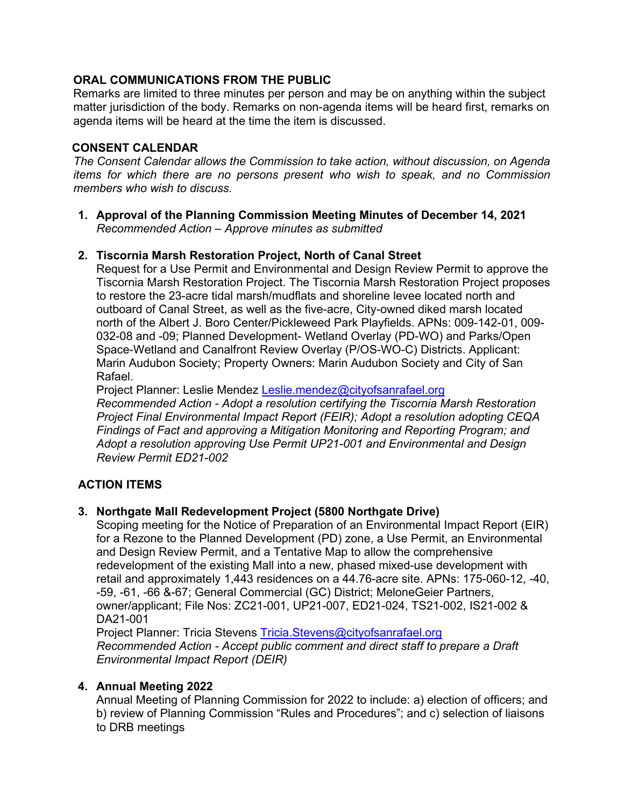## **ORAL COMMUNICATIONS FROM THE PUBLIC**

Remarks are limited to three minutes per person and may be on anything within the subject matter jurisdiction of the body. Remarks on non-agenda items will be heard first, remarks on agenda items will be heard at the time the item is discussed.

## **CONSENT CALENDAR**

*The Consent Calendar allows the Commission to take action, without discussion, on Agenda items for which there are no persons present who wish to speak, and no Commission members who wish to discuss.* 

**1. Approval of the Planning Commission Meeting Minutes of December 14, 2021** *Recommended Action – Approve minutes as submitted*

## **2. Tiscornia Marsh Restoration Project, North of Canal Street**

Request for a Use Permit and Environmental and Design Review Permit to approve the Tiscornia Marsh Restoration Project. The Tiscornia Marsh Restoration Project proposes to restore the 23-acre tidal marsh/mudflats and shoreline levee located north and outboard of Canal Street, as well as the five-acre, City-owned diked marsh located north of the Albert J. Boro Center/Pickleweed Park Playfields. APNs: 009-142-01, 009- 032-08 and -09; Planned Development- Wetland Overlay (PD-WO) and Parks/Open Space-Wetland and Canalfront Review Overlay (P/OS-WO-C) Districts. Applicant: Marin Audubon Society; Property Owners: Marin Audubon Society and City of San Rafael.

Project Planner: Leslie Mendez [Leslie.mendez@cityofsanrafael.org](mailto:Leslie.mendez@cityofsanrafael.org)

*Recommended Action - Adopt a resolution certifying the Tiscornia Marsh Restoration Project Final Environmental Impact Report (FEIR); Adopt a resolution adopting CEQA Findings of Fact and approving a Mitigation Monitoring and Reporting Program; and Adopt a resolution approving Use Permit UP21-001 and Environmental and Design Review Permit ED21-002*

# **ACTION ITEMS**

## **3. Northgate Mall Redevelopment Project (5800 Northgate Drive)**

Scoping meeting for the Notice of Preparation of an Environmental Impact Report (EIR) for a Rezone to the Planned Development (PD) zone, a Use Permit, an Environmental and Design Review Permit, and a Tentative Map to allow the comprehensive redevelopment of the existing Mall into a new, phased mixed-use development with retail and approximately 1,443 residences on a 44.76-acre site. APNs: 175-060-12, -40, -59, -61, -66 &-67; General Commercial (GC) District; MeloneGeier Partners, owner/applicant; File Nos: ZC21-001, UP21-007, ED21-024, TS21-002, IS21-002 & DA21-001

Project Planner: Tricia Stevens [Tricia.Stevens@cityofsanrafael.org](mailto:Tricia.Stevens@cityofsanrafael.org) *Recommended Action - Accept public comment and direct staff to prepare a Draft Environmental Impact Report (DEIR)*

## **4. Annual Meeting 2022**

Annual Meeting of Planning Commission for 2022 to include: a) election of officers; and b) review of Planning Commission "Rules and Procedures"; and c) selection of liaisons to DRB meetings